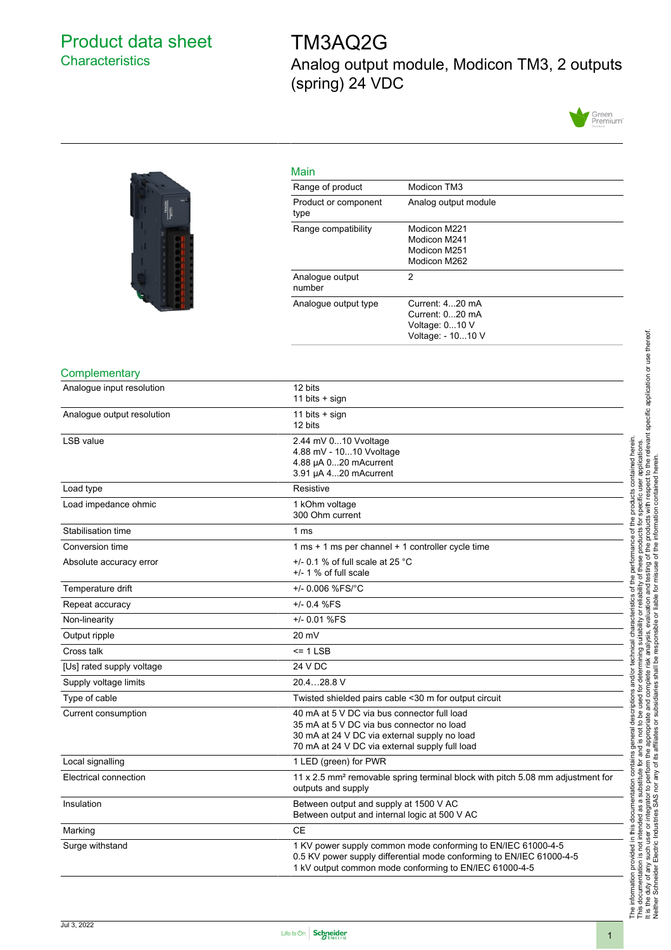## <span id="page-0-0"></span>Product data sheet **Characteristics**

# TM3AQ2G Analog output module, Modicon TM3, 2 outputs (spring) 24 VDC





| Main                         |                                                                           |
|------------------------------|---------------------------------------------------------------------------|
| Range of product             | Modicon TM3                                                               |
| Product or component<br>type | Analog output module                                                      |
| Range compatibility          | Modicon M221<br>Modicon M241<br>Modicon M251<br>Modicon M262              |
| Analogue output<br>number    | 2                                                                         |
| Analogue output type         | Current: 420 mA<br>Current: 020 mA<br>Voltage: 010 V<br>Voltage: - 1010 V |

#### **Complementary**

| Analogue input resolution  | 12 bits<br>11 bits $+$ sign                                                                                                                                                                    |
|----------------------------|------------------------------------------------------------------------------------------------------------------------------------------------------------------------------------------------|
| Analogue output resolution | 11 bits $+$ sign<br>12 bits                                                                                                                                                                    |
| <b>LSB</b> value           | 2.44 mV 010 Vvoltage<br>4.88 mV - 1010 Vvoltage<br>4.88 µA 020 mAcurrent<br>3.91 µA 420 mAcurrent                                                                                              |
| Load type                  | Resistive                                                                                                                                                                                      |
| Load impedance ohmic       | 1 kOhm voltage<br>300 Ohm current                                                                                                                                                              |
| Stabilisation time         | 1 ms                                                                                                                                                                                           |
| Conversion time            | 1 ms + 1 ms per channel + 1 controller cycle time                                                                                                                                              |
| Absolute accuracy error    | $+/-$ 0.1 % of full scale at 25 °C<br>$+/-$ 1 % of full scale                                                                                                                                  |
| Temperature drift          | +/- 0.006 %FS/°C                                                                                                                                                                               |
| Repeat accuracy            | $+/- 0.4 %FS$                                                                                                                                                                                  |
| Non-linearity              | +/- 0.01 %FS                                                                                                                                                                                   |
| Output ripple              | 20 mV                                                                                                                                                                                          |
| Cross talk                 | $= 1$ LSB                                                                                                                                                                                      |
| [Us] rated supply voltage  | 24 V DC                                                                                                                                                                                        |
| Supply voltage limits      | 20.428.8 V                                                                                                                                                                                     |
| Type of cable              | Twisted shielded pairs cable <30 m for output circuit                                                                                                                                          |
| Current consumption        | 40 mA at 5 V DC via bus connector full load<br>35 mA at 5 V DC via bus connector no load<br>30 mA at 24 V DC via external supply no load<br>70 mA at 24 V DC via external supply full load     |
| Local signalling           | 1 LED (green) for PWR                                                                                                                                                                          |
| Electrical connection      | 11 x 2.5 mm <sup>2</sup> removable spring terminal block with pitch 5.08 mm adjustment for<br>outputs and supply                                                                               |
| Insulation                 | Between output and supply at 1500 V AC<br>Between output and internal logic at 500 V AC                                                                                                        |
| Marking                    | <b>CE</b>                                                                                                                                                                                      |
| Surge withstand            | 1 KV power supply common mode conforming to EN/IEC 61000-4-5<br>0.5 KV power supply differential mode conforming to EN/IEC 61000-4-5<br>1 kV output common mode conforming to EN/IEC 61000-4-5 |

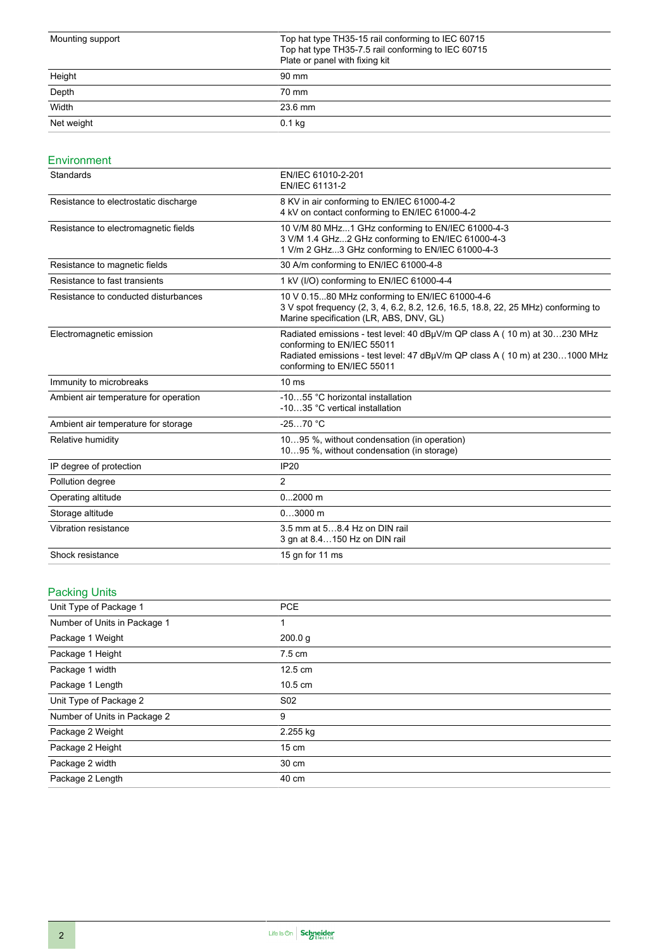| Mounting support | Top hat type TH35-15 rail conforming to IEC 60715<br>Top hat type TH35-7.5 rail conforming to IEC 60715<br>Plate or panel with fixing kit |
|------------------|-------------------------------------------------------------------------------------------------------------------------------------------|
| Height           | 90 mm                                                                                                                                     |
| Depth            | 70 mm                                                                                                                                     |
| Width            | $23.6 \text{ mm}$                                                                                                                         |
| Net weight       | $0.1$ kg                                                                                                                                  |

#### Environment

| Standards                             | EN/IEC 61010-2-201<br>EN/IEC 61131-2                                                                                                                                                                                 |
|---------------------------------------|----------------------------------------------------------------------------------------------------------------------------------------------------------------------------------------------------------------------|
| Resistance to electrostatic discharge | 8 KV in air conforming to EN/IEC 61000-4-2<br>4 kV on contact conforming to EN/IEC 61000-4-2                                                                                                                         |
| Resistance to electromagnetic fields  | 10 V/M 80 MHz1 GHz conforming to EN/IEC 61000-4-3<br>3 V/M 1.4 GHz2 GHz conforming to EN/IEC 61000-4-3<br>1 V/m 2 GHz3 GHz conforming to EN/IEC 61000-4-3                                                            |
| Resistance to magnetic fields         | 30 A/m conforming to EN/IEC 61000-4-8                                                                                                                                                                                |
| Resistance to fast transients         | 1 kV (I/O) conforming to EN/IEC 61000-4-4                                                                                                                                                                            |
| Resistance to conducted disturbances  | 10 V 0.1580 MHz conforming to EN/IEC 61000-4-6<br>3 V spot frequency (2, 3, 4, 6.2, 8.2, 12.6, 16.5, 18.8, 22, 25 MHz) conforming to<br>Marine specification (LR, ABS, DNV, GL)                                      |
| Electromagnetic emission              | Radiated emissions - test level: 40 dBµV/m QP class A (10 m) at 30230 MHz<br>conforming to EN/IEC 55011<br>Radiated emissions - test level: 47 dBµV/m QP class A (10 m) at 2301000 MHz<br>conforming to EN/IEC 55011 |
| Immunity to microbreaks               | 10 <sub>ms</sub>                                                                                                                                                                                                     |
| Ambient air temperature for operation | -1055 °C horizontal installation<br>-1035 °C vertical installation                                                                                                                                                   |
| Ambient air temperature for storage   | $-2570 °C$                                                                                                                                                                                                           |
| Relative humidity                     | 1095 %, without condensation (in operation)<br>1095 %, without condensation (in storage)                                                                                                                             |
| IP degree of protection               | <b>IP20</b>                                                                                                                                                                                                          |
| Pollution degree                      | $\overline{2}$                                                                                                                                                                                                       |
| Operating altitude                    | $02000$ m                                                                                                                                                                                                            |
| Storage altitude                      | $03000$ m                                                                                                                                                                                                            |
| Vibration resistance                  | 3.5 mm at 58.4 Hz on DIN rail<br>3 gn at 8.4150 Hz on DIN rail                                                                                                                                                       |
| Shock resistance                      | 15 gn for 11 ms                                                                                                                                                                                                      |

## Packing Units

| Unit Type of Package 1       | <b>PCE</b>        |
|------------------------------|-------------------|
| Number of Units in Package 1 |                   |
| Package 1 Weight             | 200.0 g           |
| Package 1 Height             | $7.5 \text{ cm}$  |
| Package 1 width              | $12.5 \text{ cm}$ |
| Package 1 Length             | 10.5 cm           |
| Unit Type of Package 2       | S <sub>02</sub>   |
| Number of Units in Package 2 | 9                 |
| Package 2 Weight             | 2.255 kg          |
| Package 2 Height             | $15 \text{ cm}$   |
| Package 2 width              | 30 cm             |
| Package 2 Length             | 40 cm             |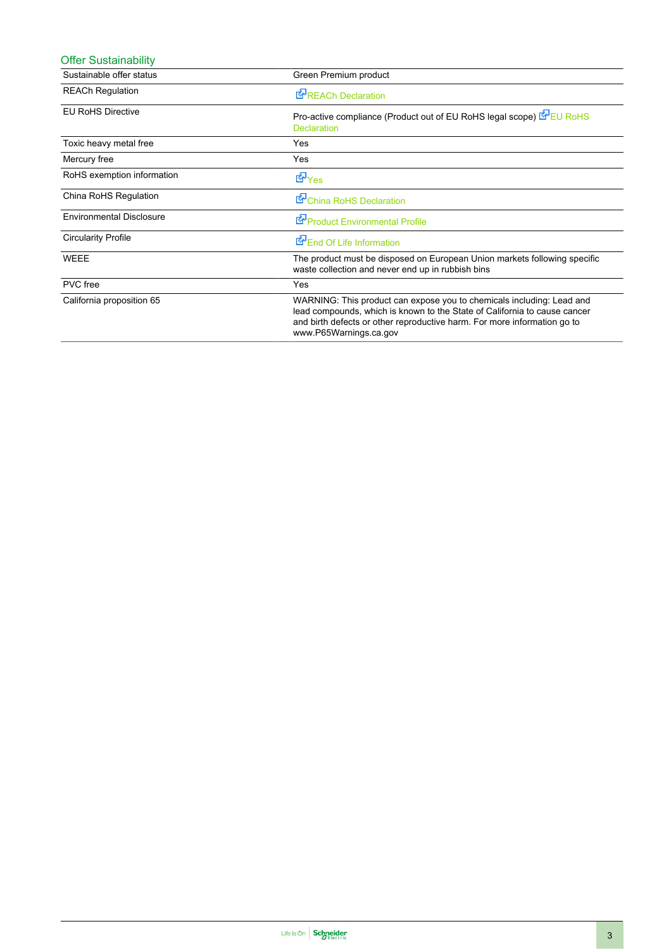| <b>Offer Sustainability</b>     |                                                                                                                                                                                                                                                          |
|---------------------------------|----------------------------------------------------------------------------------------------------------------------------------------------------------------------------------------------------------------------------------------------------------|
| Sustainable offer status        | Green Premium product                                                                                                                                                                                                                                    |
| <b>REACh Regulation</b>         | <b>E-</b> REACh Declaration                                                                                                                                                                                                                              |
| <b>EU RoHS Directive</b>        | Pro-active compliance (Product out of EU RoHS legal scope) EU RoHS<br><b>Declaration</b>                                                                                                                                                                 |
| Toxic heavy metal free          | Yes                                                                                                                                                                                                                                                      |
| Mercury free                    | Yes                                                                                                                                                                                                                                                      |
| RoHS exemption information      | <b>E</b> Yes                                                                                                                                                                                                                                             |
| China RoHS Regulation           | China RoHS Declaration                                                                                                                                                                                                                                   |
| <b>Environmental Disclosure</b> | Product Environmental Profile                                                                                                                                                                                                                            |
| <b>Circularity Profile</b>      | End Of Life Information                                                                                                                                                                                                                                  |
| <b>WEEE</b>                     | The product must be disposed on European Union markets following specific<br>waste collection and never end up in rubbish bins                                                                                                                           |
| PVC free                        | Yes                                                                                                                                                                                                                                                      |
| California proposition 65       | WARNING: This product can expose you to chemicals including: Lead and<br>lead compounds, which is known to the State of California to cause cancer<br>and birth defects or other reproductive harm. For more information go to<br>www.P65Warnings.ca.gov |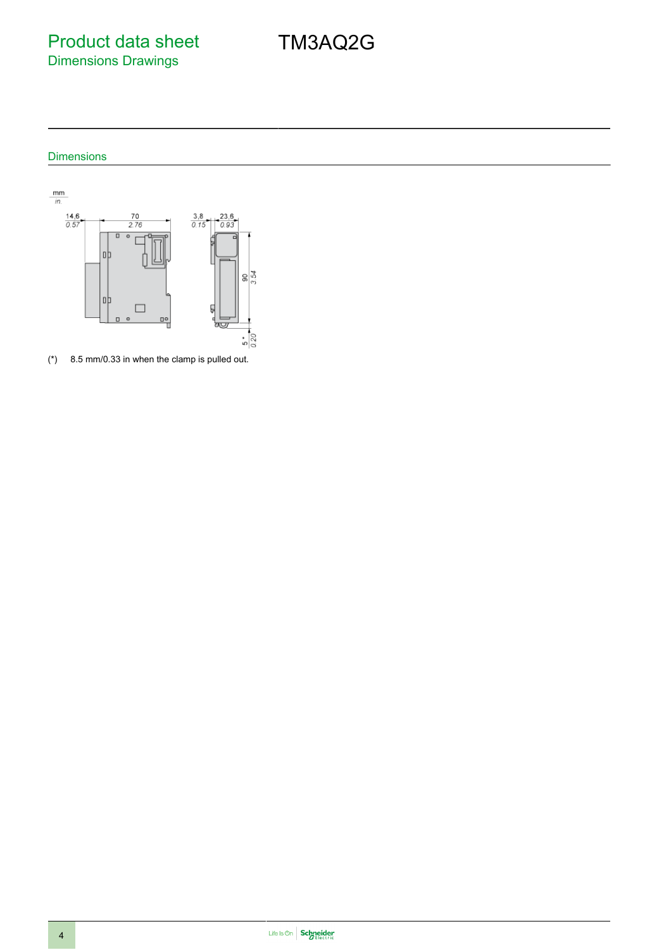Product data sheet Dimensions Drawings

### Dimensions



(\*) 8.5 mm/0.33 in when the clamp is pulled out.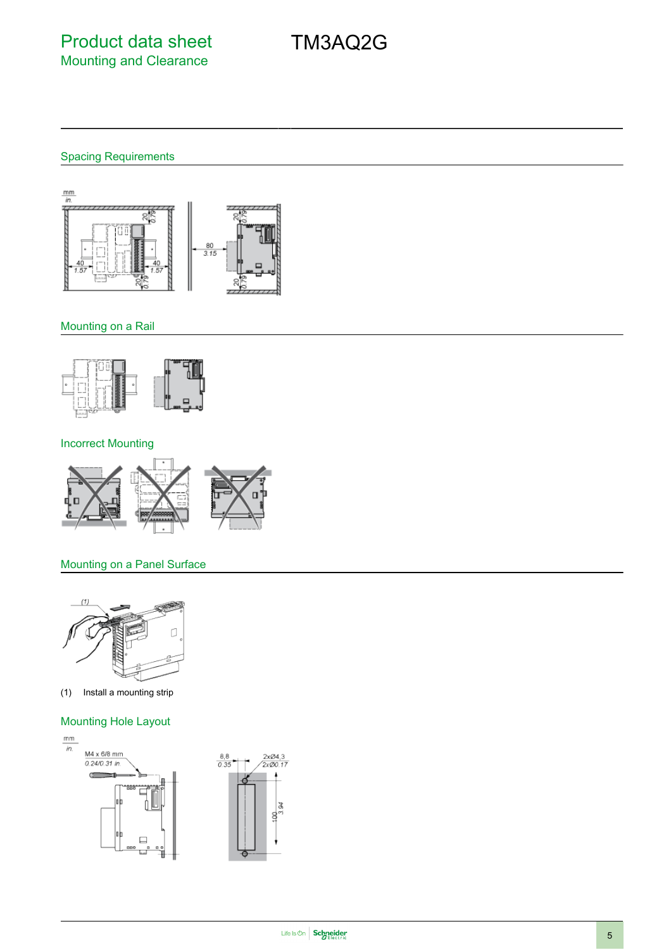## Spacing Requirements



#### Mounting on a Rail



#### Incorrect Mounting



#### Mounting on a Panel Surface



(1) Install a mounting strip

#### Mounting Hole Layout